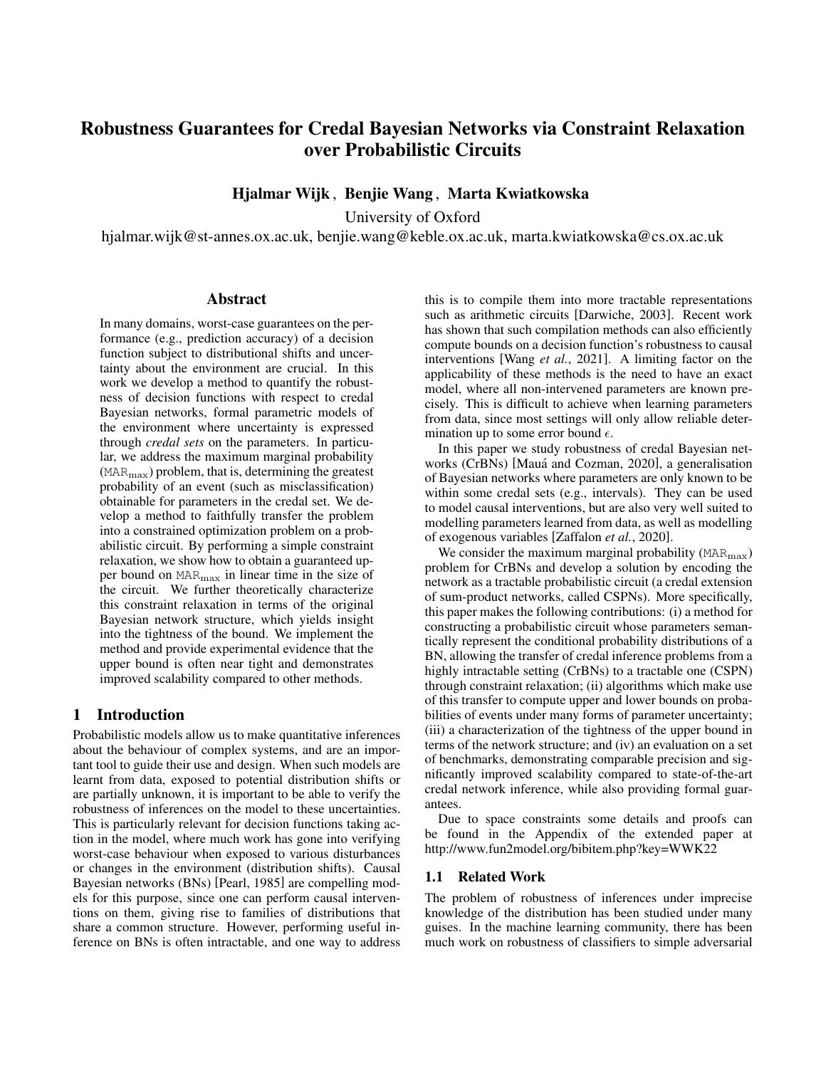# <span id="page-0-0"></span>Robustness Guarantees for Credal Bayesian Networks via Constraint Relaxation over Probabilistic Circuits

Hjalmar Wijk , Benjie Wang , Marta Kwiatkowska

University of Oxford

hjalmar.wijk@st-annes.ox.ac.uk, benjie.wang@keble.ox.ac.uk, marta.kwiatkowska@cs.ox.ac.uk

#### Abstract

In many domains, worst-case guarantees on the performance (e.g., prediction accuracy) of a decision function subject to distributional shifts and uncertainty about the environment are crucial. In this work we develop a method to quantify the robustness of decision functions with respect to credal Bayesian networks, formal parametric models of the environment where uncertainty is expressed through *credal sets* on the parameters. In particular, we address the maximum marginal probability  $(MAR_{\text{max}})$  problem, that is, determining the greatest probability of an event (such as misclassification) obtainable for parameters in the credal set. We develop a method to faithfully transfer the problem into a constrained optimization problem on a probabilistic circuit. By performing a simple constraint relaxation, we show how to obtain a guaranteed upper bound on MARmax in linear time in the size of the circuit. We further theoretically characterize this constraint relaxation in terms of the original Bayesian network structure, which yields insight into the tightness of the bound. We implement the method and provide experimental evidence that the upper bound is often near tight and demonstrates improved scalability compared to other methods.

### 1 Introduction

Probabilistic models allow us to make quantitative inferences about the behaviour of complex systems, and are an important tool to guide their use and design. When such models are learnt from data, exposed to potential distribution shifts or are partially unknown, it is important to be able to verify the robustness of inferences on the model to these uncertainties. This is particularly relevant for decision functions taking action in the model, where much work has gone into verifying worst-case behaviour when exposed to various disturbances or changes in the environment (distribution shifts). Causal Bayesian networks (BNs) [\[Pearl, 1985\]](#page-7-0) are compelling models for this purpose, since one can perform causal interventions on them, giving rise to families of distributions that share a common structure. However, performing useful inference on BNs is often intractable, and one way to address this is to compile them into more tractable representations such as arithmetic circuits [\[Darwiche, 2003\]](#page-7-1). Recent work has shown that such compilation methods can also efficiently compute bounds on a decision function's robustness to causal interventions [Wang *et al.*[, 2021\]](#page-7-2). A limiting factor on the applicability of these methods is the need to have an exact model, where all non-intervened parameters are known precisely. This is difficult to achieve when learning parameters from data, since most settings will only allow reliable determination up to some error bound  $\epsilon$ .

In this paper we study robustness of credal Bayesian networks (CrBNs) [Mauá and Cozman, 2020], a generalisation of Bayesian networks where parameters are only known to be within some credal sets (e.g., intervals). They can be used to model causal interventions, but are also very well suited to modelling parameters learned from data, as well as modelling of exogenous variables [\[Zaffalon](#page-7-4) *et al.*, 2020].

We consider the maximum marginal probability  $(MAR_{\text{max}})$ problem for CrBNs and develop a solution by encoding the network as a tractable probabilistic circuit (a credal extension of sum-product networks, called CSPNs). More specifically, this paper makes the following contributions: (i) a method for constructing a probabilistic circuit whose parameters semantically represent the conditional probability distributions of a BN, allowing the transfer of credal inference problems from a highly intractable setting (CrBNs) to a tractable one (CSPN) through constraint relaxation; (ii) algorithms which make use of this transfer to compute upper and lower bounds on probabilities of events under many forms of parameter uncertainty; (iii) a characterization of the tightness of the upper bound in terms of the network structure; and (iv) an evaluation on a set of benchmarks, demonstrating comparable precision and significantly improved scalability compared to state-of-the-art credal network inference, while also providing formal guarantees.

Due to space constraints some details and proofs can be found in the Appendix of the extended paper at http://www.fun2model.org/bibitem.php?key=WWK22

## 1.1 Related Work

The problem of robustness of inferences under imprecise knowledge of the distribution has been studied under many guises. In the machine learning community, there has been much work on robustness of classifiers to simple adversarial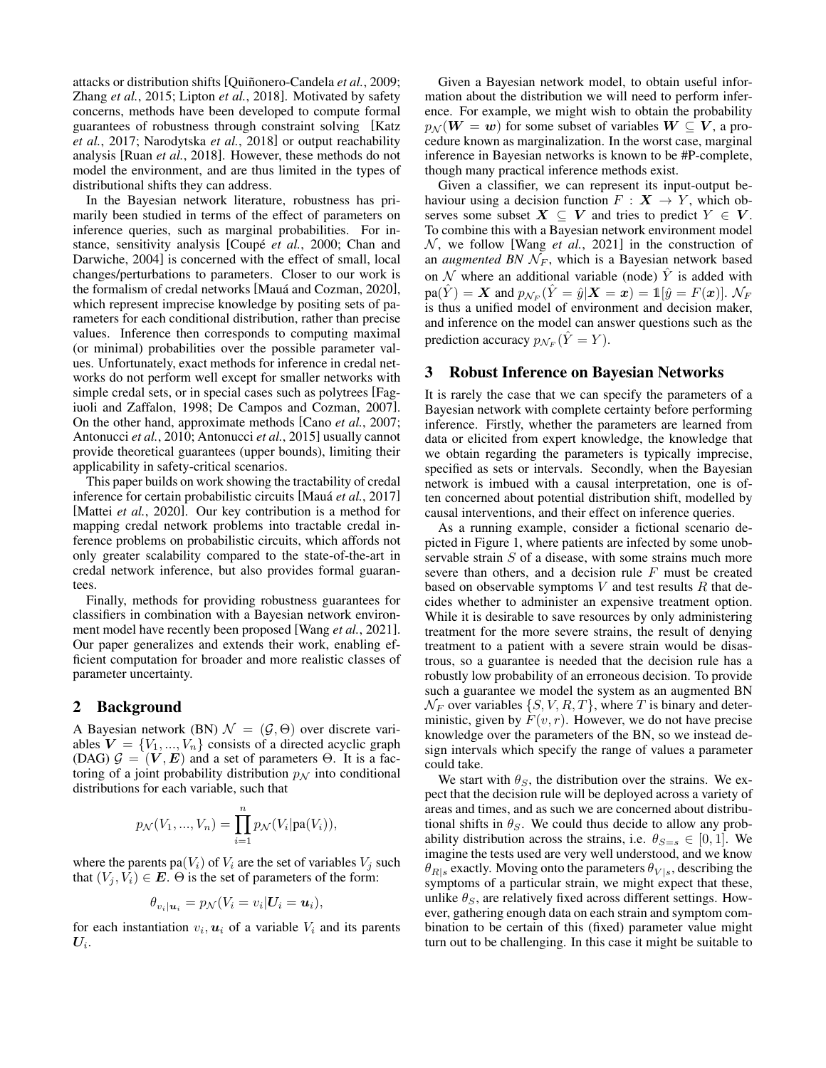attacks or distribution shifts [Quiñonero-Candela et al., 2009; Zhang *et al.*[, 2015;](#page-7-6) Lipton *et al.*[, 2018\]](#page-7-7). Motivated by safety concerns, methods have been developed to compute formal guarantees of robustness through constraint solving [\[Katz](#page-7-8) *et al.*[, 2017;](#page-7-8) [Narodytska](#page-7-9) *et al.*, 2018] or output reachability analysis [Ruan *et al.*[, 2018\]](#page-7-10). However, these methods do not model the environment, and are thus limited in the types of distributional shifts they can address.

In the Bayesian network literature, robustness has primarily been studied in terms of the effect of parameters on inference queries, such as marginal probabilities. For instance, sensitivity analysis [Coupé *et al.*, 2000; [Chan and](#page-7-12) [Darwiche, 2004\]](#page-7-12) is concerned with the effect of small, local changes/perturbations to parameters. Closer to our work is the formalism of credal networks [Mauá and Cozman, 2020], which represent imprecise knowledge by positing sets of parameters for each conditional distribution, rather than precise values. Inference then corresponds to computing maximal (or minimal) probabilities over the possible parameter values. Unfortunately, exact methods for inference in credal networks do not perform well except for smaller networks with simple credal sets, or in special cases such as polytrees [\[Fag](#page-7-13)[iuoli and Zaffalon, 1998;](#page-7-13) [De Campos and Cozman, 2007\]](#page-7-14). On the other hand, approximate methods [Cano *et al.*[, 2007;](#page-7-15) [Antonucci](#page-7-16) *et al.*, 2010; [Antonucci](#page-7-17) *et al.*, 2015] usually cannot provide theoretical guarantees (upper bounds), limiting their applicability in safety-critical scenarios.

This paper builds on work showing the tractability of credal inference for certain probabilistic circuits [Maua´ *et al.*[, 2017\]](#page-7-18) [\[Mattei](#page-7-19) *et al.*, 2020]. Our key contribution is a method for mapping credal network problems into tractable credal inference problems on probabilistic circuits, which affords not only greater scalability compared to the state-of-the-art in credal network inference, but also provides formal guarantees.

Finally, methods for providing robustness guarantees for classifiers in combination with a Bayesian network environment model have recently been proposed [Wang *et al.*[, 2021\]](#page-7-2). Our paper generalizes and extends their work, enabling efficient computation for broader and more realistic classes of parameter uncertainty.

# 2 Background

A Bayesian network (BN)  $\mathcal{N} = (\mathcal{G}, \Theta)$  over discrete variables  $V = \{V_1, ..., V_n\}$  consists of a directed acyclic graph (DAG)  $G = (V, E)$  and a set of parameters  $\Theta$ . It is a factoring of a joint probability distribution  $p<sub>N</sub>$  into conditional distributions for each variable, such that

$$
p_N(V_1, ..., V_n) = \prod_{i=1}^n p_N(V_i | pa(V_i)),
$$

where the parents pa( $V_i$ ) of  $V_i$  are the set of variables  $V_i$  such that  $(V_i, V_i) \in E$ .  $\Theta$  is the set of parameters of the form:

$$
\theta_{v_i|\mathbf{u}_i} = p_{\mathcal{N}}(V_i = v_i | \mathbf{U}_i = \mathbf{u}_i),
$$

for each instantiation  $v_i$ ,  $u_i$  of a variable  $V_i$  and its parents  $\boldsymbol{U_i}.$ 

Given a Bayesian network model, to obtain useful information about the distribution we will need to perform inference. For example, we might wish to obtain the probability  $p_{\mathcal{N}}(\mathbf{W} = \mathbf{w})$  for some subset of variables  $\mathbf{W} \subseteq \mathbf{V}$ , a procedure known as marginalization. In the worst case, marginal inference in Bayesian networks is known to be #P-complete, though many practical inference methods exist.

Given a classifier, we can represent its input-output behaviour using a decision function  $F : X \rightarrow Y$ , which observes some subset  $X \subseteq V$  and tries to predict  $Y \in V$ . To combine this with a Bayesian network environment model  $N$ , we follow [Wang *et al.*[, 2021\]](#page-7-2) in the construction of an *augmented BN*  $\mathcal{N}_F$ , which is a Bayesian network based on N where an additional variable (node)  $\hat{Y}$  is added with  $\text{pa}(\hat{Y}) = \boldsymbol{X}$  and  $p_{\mathcal{N}_F}(\hat{Y} = \hat{y} | \boldsymbol{X} = \boldsymbol{x}) = \mathbb{1}[\hat{y} = F(\boldsymbol{x})].$   $\mathcal{N}_F$ is thus a unified model of environment and decision maker, and inference on the model can answer questions such as the prediction accuracy  $p_{\mathcal{N}_F}(\hat{Y} = Y)$ .

### 3 Robust Inference on Bayesian Networks

It is rarely the case that we can specify the parameters of a Bayesian network with complete certainty before performing inference. Firstly, whether the parameters are learned from data or elicited from expert knowledge, the knowledge that we obtain regarding the parameters is typically imprecise, specified as sets or intervals. Secondly, when the Bayesian network is imbued with a causal interpretation, one is often concerned about potential distribution shift, modelled by causal interventions, and their effect on inference queries.

As a running example, consider a fictional scenario depicted in Figure [1,](#page-2-0) where patients are infected by some unobservable strain S of a disease, with some strains much more severe than others, and a decision rule  $F$  must be created based on observable symptoms  $V$  and test results  $R$  that decides whether to administer an expensive treatment option. While it is desirable to save resources by only administering treatment for the more severe strains, the result of denying treatment to a patient with a severe strain would be disastrous, so a guarantee is needed that the decision rule has a robustly low probability of an erroneous decision. To provide such a guarantee we model the system as an augmented BN  $\mathcal{N}_F$  over variables  $\{S, V, R, T\}$ , where T is binary and deterministic, given by  $F(v, r)$ . However, we do not have precise knowledge over the parameters of the BN, so we instead design intervals which specify the range of values a parameter could take.

We start with  $\theta_s$ , the distribution over the strains. We expect that the decision rule will be deployed across a variety of areas and times, and as such we are concerned about distributional shifts in  $\theta_S$ . We could thus decide to allow any probability distribution across the strains, i.e.  $\theta_{S=s} \in [0,1]$ . We imagine the tests used are very well understood, and we know  $\theta_{R|s}$  exactly. Moving onto the parameters  $\theta_{V|s}$ , describing the symptoms of a particular strain, we might expect that these, unlike  $\theta_S$ , are relatively fixed across different settings. However, gathering enough data on each strain and symptom combination to be certain of this (fixed) parameter value might turn out to be challenging. In this case it might be suitable to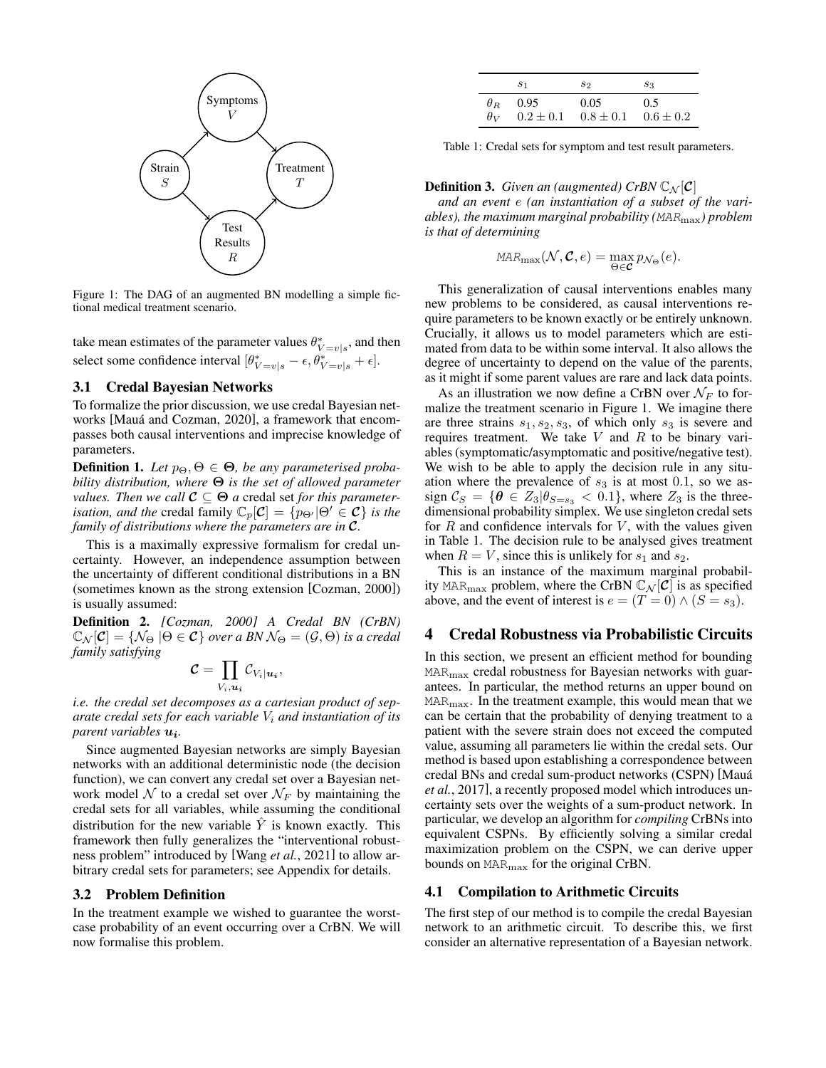<span id="page-2-0"></span>

Figure 1: The DAG of an augmented BN modelling a simple fictional medical treatment scenario.

take mean estimates of the parameter values  $\theta^*_{V=v|s}$ , and then select some confidence interval  $[\theta_{V=v|s}^* - \epsilon, \theta_{V=v|s}^* + \epsilon]$ .

#### 3.1 Credal Bayesian Networks

To formalize the prior discussion, we use credal Bayesian networks [Mauá and Cozman, 2020], a framework that encompasses both causal interventions and imprecise knowledge of parameters.

**Definition 1.** Let  $p_{\Theta}, \Theta \in \Theta$ , be any parameterised proba*bility distribution, where* Θ *is the set of allowed parameter values. Then we call*  $C \subseteq \Theta$  *a* credal set *for this parameterisation, and the* credal family  $\mathbb{C}_p[\mathcal{C}] = \{p_{\Theta'} | \Theta' \in \mathcal{C} \}$  *is the family of distributions where the parameters are in* C*.*

This is a maximally expressive formalism for credal uncertainty. However, an independence assumption between the uncertainty of different conditional distributions in a BN (sometimes known as the strong extension [\[Cozman, 2000\]](#page-7-20)) is usually assumed:

Definition 2. *[\[Cozman, 2000\]](#page-7-20) A Credal BN (CrBN)*  $\mathbb{C}_{\mathcal{N}}[\mathcal{C}] = \{\mathcal{N}_{\Theta} | \Theta \in \mathcal{C}\}$  *over a BN*  $\mathcal{N}_{\Theta} = (\mathcal{G}, \Theta)$  *is a credal family satisfying*

$$
\mathcal{C} = \prod_{V_i, u_i} \mathcal{C}_{V_i|u_i},
$$

*i.e. the credal set decomposes as a cartesian product of separate credal sets for each variable* V<sup>i</sup> *and instantiation of its parent variables*  $u_i$ .

Since augmented Bayesian networks are simply Bayesian networks with an additional deterministic node (the decision function), we can convert any credal set over a Bayesian network model  $N$  to a credal set over  $\mathcal{N}_F$  by maintaining the credal sets for all variables, while assuming the conditional distribution for the new variable  $\overline{Y}$  is known exactly. This framework then fully generalizes the "interventional robustness problem" introduced by [Wang *et al.*[, 2021\]](#page-7-2) to allow arbitrary credal sets for parameters; see Appendix for details.

#### <span id="page-2-2"></span>3.2 Problem Definition

In the treatment example we wished to guarantee the worstcase probability of an event occurring over a CrBN. We will now formalise this problem.

<span id="page-2-1"></span>

| S <sub>1</sub>  | S2                                                   | $s_3$ |
|-----------------|------------------------------------------------------|-------|
| $\theta_R$ 0.95 | $0.05 -$                                             | 0.5   |
|                 | $\theta_V$ $0.2 \pm 0.1$ $0.8 \pm 0.1$ $0.6 \pm 0.2$ |       |

Table 1: Credal sets for symptom and test result parameters.

#### **Definition 3.** *Given an (augmented) CrBN*  $\mathbb{C}_N[\mathcal{C}]$

*and an event* e *(an instantiation of a subset of the variables), the maximum marginal probability (*MARmax*) problem is that of determining*

$$
MAR_{\max}(\mathcal{N}, \mathcal{C}, e) = \max_{\Theta \in \mathcal{C}} p_{\mathcal{N}_{\Theta}}(e).
$$

This generalization of causal interventions enables many new problems to be considered, as causal interventions require parameters to be known exactly or be entirely unknown. Crucially, it allows us to model parameters which are estimated from data to be within some interval. It also allows the degree of uncertainty to depend on the value of the parents, as it might if some parent values are rare and lack data points.

As an illustration we now define a CrBN over  $\mathcal{N}_F$  to formalize the treatment scenario in Figure [1.](#page-2-0) We imagine there are three strains  $s_1, s_2, s_3$ , of which only  $s_3$  is severe and requires treatment. We take  $V$  and  $R$  to be binary variables (symptomatic/asymptomatic and positive/negative test). We wish to be able to apply the decision rule in any situation where the prevalence of  $s_3$  is at most 0.1, so we assign  $\mathcal{C}_S = \{ \theta \in Z_3 | \theta_{S=s_3} < 0.1 \}$ , where  $Z_3$  is the threedimensional probability simplex. We use singleton credal sets for  $R$  and confidence intervals for  $V$ , with the values given in Table [1.](#page-2-1) The decision rule to be analysed gives treatment when  $R = V$ , since this is unlikely for  $s_1$  and  $s_2$ .

This is an instance of the maximum marginal probability MAR<sub>max</sub> problem, where the CrBN  $\mathbb{C}_{\mathcal{N}}[\mathcal{C}]$  is as specified above, and the event of interest is  $e = (T = 0) \wedge (S = s_3)$ .

### 4 Credal Robustness via Probabilistic Circuits

In this section, we present an efficient method for bounding  $MAR_{\text{max}}$  credal robustness for Bayesian networks with guarantees. In particular, the method returns an upper bound on MARmax. In the treatment example, this would mean that we can be certain that the probability of denying treatment to a patient with the severe strain does not exceed the computed value, assuming all parameters lie within the credal sets. Our method is based upon establishing a correspondence between credal BNs and credal sum-product networks (CSPN) [\[Maua´](#page-7-18) *et al.*[, 2017\]](#page-7-18), a recently proposed model which introduces uncertainty sets over the weights of a sum-product network. In particular, we develop an algorithm for *compiling* CrBNs into equivalent CSPNs. By efficiently solving a similar credal maximization problem on the CSPN, we can derive upper bounds on MARmax for the original CrBN.

#### 4.1 Compilation to Arithmetic Circuits

The first step of our method is to compile the credal Bayesian network to an arithmetic circuit. To describe this, we first consider an alternative representation of a Bayesian network.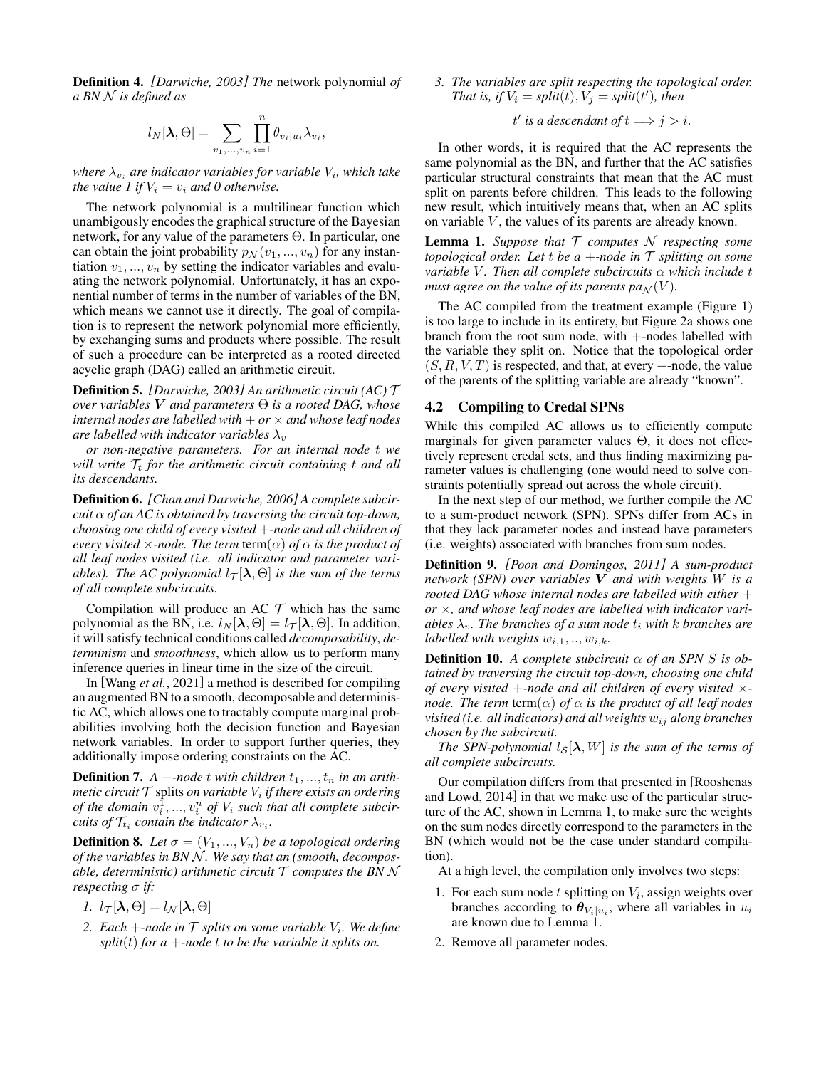Definition 4. *[\[Darwiche, 2003\]](#page-7-1) The* network polynomial *of a BN* N *is defined as*

$$
l_N[\boldsymbol\lambda,\Theta]=\sum_{v_1,...,v_n}\prod_{i=1}^n\theta_{v_i|u_i}\lambda_{v_i}
$$

,

where  $\lambda_{v_i}$  are indicator variables for variable  $V_i$ , which take *the value 1 if*  $V_i = v_i$  *and 0 otherwise.* 

The network polynomial is a multilinear function which unambigously encodes the graphical structure of the Bayesian network, for any value of the parameters Θ. In particular, one can obtain the joint probability  $p_N(v_1, ..., v_n)$  for any instantiation  $v_1, \ldots, v_n$  by setting the indicator variables and evaluating the network polynomial. Unfortunately, it has an exponential number of terms in the number of variables of the BN, which means we cannot use it directly. The goal of compilation is to represent the network polynomial more efficiently, by exchanging sums and products where possible. The result of such a procedure can be interpreted as a rooted directed acyclic graph (DAG) called an arithmetic circuit.

Definition 5. *[\[Darwiche, 2003\]](#page-7-1) An arithmetic circuit (AC)* T *over variables* V *and parameters* Θ *is a rooted DAG, whose internal nodes are labelled with*  $+ or \times$  *and whose leaf nodes are labelled with indicator variables*  $\lambda_v$ 

*or non-negative parameters. For an internal node* t *we will write*  $\mathcal{T}_t$  *for the arithmetic circuit containing t and all its descendants.*

Definition 6. *[\[Chan and Darwiche, 2006\]](#page-7-21) A complete subcircuit* α *of an AC is obtained by traversing the circuit top-down, choosing one child of every visited* +*-node and all children of every visited*  $\times$ *-node. The term* term( $\alpha$ ) *of*  $\alpha$  *is the product of all leaf nodes visited (i.e. all indicator and parameter variables). The AC polynomial*  $l_{\tau}[\lambda, \Theta]$  *is the sum of the terms of all complete subcircuits.*

Compilation will produce an AC  $T$  which has the same polynomial as the BN, i.e.  $l_N[\lambda, \Theta] = l_{\mathcal{T}}[\lambda, \Theta]$ . In addition, it will satisfy technical conditions called *decomposability*, *determinism* and *smoothness*, which allow us to perform many inference queries in linear time in the size of the circuit.

In [Wang *et al.*[, 2021\]](#page-7-2) a method is described for compiling an augmented BN to a smooth, decomposable and deterministic AC, which allows one to tractably compute marginal probabilities involving both the decision function and Bayesian network variables. In order to support further queries, they additionally impose ordering constraints on the AC.

<span id="page-3-1"></span>**Definition 7.**  $A + node$  *t* with children  $t_1, ..., t_n$  in an arithmetic circuit  ${\cal T}$  splits *on variable*  $V_i$  *if there exists an ordering of the domain*  $v_i^1, ..., v_i^n$  *of*  $V_i$  *such that all complete subcircuits of*  $\mathcal{T}_{t_i}$  *contain the indicator*  $\lambda_{v_i}$ *.* 

<span id="page-3-2"></span>**Definition 8.** Let  $\sigma = (V_1, ..., V_n)$  be a topological ordering *of the variables in BN* N *. We say that an (smooth, decomposable, deterministic) arithmetic circuit*  $\mathcal T$  *computes the BN N respecting* σ *if:*

- *1.*  $l_{\mathcal{T}}[\lambda, \Theta] = l_{\mathcal{N}}[\lambda, \Theta]$
- 2. Each  $+$ -node in  $\mathcal T$  splits on some variable  $V_i$ . We define *split*(*t*) *for a* +*-node t to be the variable it splits on.*

*3. The variables are split respecting the topological order. That is, if*  $V_i = split(t), V_j = split(t')$ *, then* 

 $t'$  *is a descendant of*  $t \Longrightarrow j > i$ .

In other words, it is required that the AC represents the same polynomial as the BN, and further that the AC satisfies particular structural constraints that mean that the AC must split on parents before children. This leads to the following new result, which intuitively means that, when an AC splits on variable  $V$ , the values of its parents are already known.

<span id="page-3-0"></span>**Lemma 1.** Suppose that  $\mathcal T$  computes  $\mathcal N$  respecting some *topological order. Let*  $t$  *be a*  $+$ *-node in*  $\mathcal T$  *splitting on some variable V. Then all complete subcircuits* α *which include t must agree on the value of its parents*  $pa_N(V)$ *.* 

The AC compiled from the treatment example (Figure [1\)](#page-2-0) is too large to include in its entirety, but Figure [2a](#page-4-0) shows one branch from the root sum node, with +-nodes labelled with the variable they split on. Notice that the topological order  $(S, R, V, T)$  is respected, and that, at every  $+$ -node, the value of the parents of the splitting variable are already "known".

### 4.2 Compiling to Credal SPNs

While this compiled AC allows us to efficiently compute marginals for given parameter values  $\Theta$ , it does not effectively represent credal sets, and thus finding maximizing parameter values is challenging (one would need to solve constraints potentially spread out across the whole circuit).

In the next step of our method, we further compile the AC to a sum-product network (SPN). SPNs differ from ACs in that they lack parameter nodes and instead have parameters (i.e. weights) associated with branches from sum nodes.

Definition 9. *[\[Poon and Domingos, 2011\]](#page-7-22) A sum-product network (SPN) over variables* V *and with weights* W *is a rooted DAG whose internal nodes are labelled with either* + *or* ×*, and whose leaf nodes are labelled with indicator variables*  $\lambda_v$ . The branches of a sum node  $t_i$  with k branches are *labelled with weights*  $w_{i,1}, ..., w_{i,k}$ .

**Definition 10.** A complete subcircuit  $\alpha$  of an SPN S is ob*tained by traversing the circuit top-down, choosing one child of every visited* +*-node and all children of every visited* × *node. The term* term( $\alpha$ ) *of*  $\alpha$  *is the product of all leaf nodes visited (i.e. all indicators) and all weights*  $w_{ij}$  *along branches chosen by the subcircuit.*

*The SPN-polynomial*  $l_S[\lambda, W]$  *is the sum of the terms of all complete subcircuits.*

Our compilation differs from that presented in [\[Rooshenas](#page-7-23) [and Lowd, 2014\]](#page-7-23) in that we make use of the particular structure of the AC, shown in Lemma [1,](#page-3-0) to make sure the weights on the sum nodes directly correspond to the parameters in the BN (which would not be the case under standard compilation).

At a high level, the compilation only involves two steps:

- 1. For each sum node  $t$  splitting on  $V_i$ , assign weights over branches according to  $\theta_{V_i|u_i}$ , where all variables in  $u_i$ are known due to Lemma [1.](#page-3-0)
- 2. Remove all parameter nodes.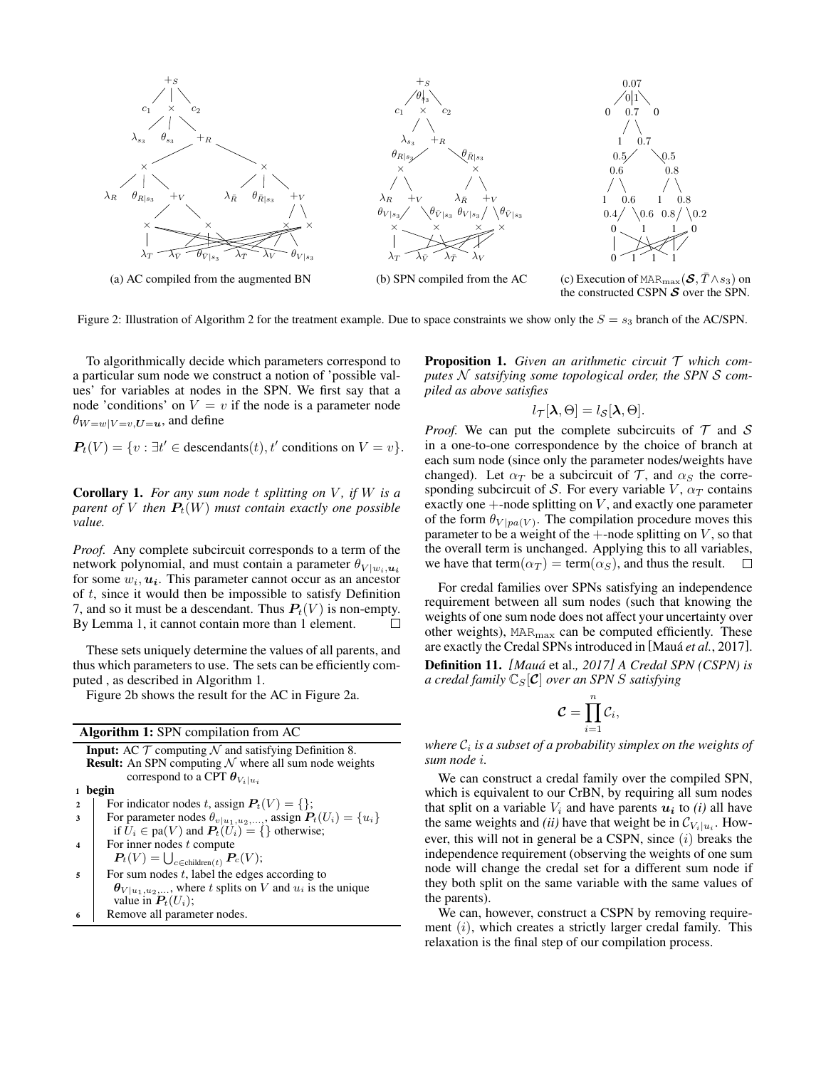<span id="page-4-0"></span>

Figure [2](#page-5-0): Illustration of Algorithm 2 for the treatment example. Due to space constraints we show only the  $S = s_3$  branch of the AC/SPN.

To algorithmically decide which parameters correspond to a particular sum node we construct a notion of 'possible values' for variables at nodes in the SPN. We first say that a node 'conditions' on  $V = v$  if the node is a parameter node  $\theta_{W=w|V=v, U=u}$ , and define

$$
\mathbf{P}_t(V) = \{v : \exists t' \in \text{descendants}(t), t' \text{ conditions on } V = v\}.
$$

Corollary 1. *For any sum node* t *splitting on* V *, if* W *is a parent of* V *then*  $P_t(W)$  *must contain exactly one possible value.*

*Proof.* Any complete subcircuit corresponds to a term of the network polynomial, and must contain a parameter  $\theta_{V|w_i,\mathbf{u}_i}$ for some  $w_i$ ,  $u_i$ . This parameter cannot occur as an ancestor of t, since it would then be impossible to satisfy Definition [7,](#page-3-1) and so it must be a descendant. Thus  $P_t(V)$  is non-empty.<br>By Lemma 1, it cannot contain more than 1 element. By Lemma 1, it cannot contain more than 1 element.

These sets uniquely determine the values of all parents, and thus which parameters to use. The sets can be efficiently computed , as described in Algorithm [1.](#page-4-1)

Figure [2b](#page-4-0) shows the result for the AC in Figure [2a.](#page-4-0)

<span id="page-4-1"></span>

|                                        | <b>Algorithm 1:</b> SPN compilation from AC                                                   |  |  |  |  |  |
|----------------------------------------|-----------------------------------------------------------------------------------------------|--|--|--|--|--|
|                                        | <b>Input:</b> AC $\mathcal T$ computing $\mathcal N$ and satisfying Definition 8.             |  |  |  |  |  |
|                                        | <b>Result:</b> An SPN computing $N$ where all sum node weights                                |  |  |  |  |  |
| correspond to a CPT $\theta_{V_i u_i}$ |                                                                                               |  |  |  |  |  |
| begin                                  |                                                                                               |  |  |  |  |  |
| $\overline{\mathbf{c}}$                | For indicator nodes t, assign $P_t(V) = \{\};$                                                |  |  |  |  |  |
| 3                                      | For parameter nodes $\theta_{v u_1, u_2, ,}$ , assign $P_t(U_i) = \{u_i\}$                    |  |  |  |  |  |
|                                        | if $U_i \in pa(V)$ and $P_t(U_i) = \{\}$ otherwise;                                           |  |  |  |  |  |
| $\boldsymbol{4}$                       | For inner nodes t compute                                                                     |  |  |  |  |  |
|                                        | $P_t(V) = \bigcup_{c \in \text{children}(t)} P_c(V);$                                         |  |  |  |  |  |
| 5                                      | For sum nodes $t$ , label the edges according to                                              |  |  |  |  |  |
|                                        | $\theta_{V u_1, u_2,}$ , where t splits on V and $u_i$ is the unique<br>value in $P_t(U_i)$ ; |  |  |  |  |  |
| 6                                      | Remove all parameter nodes.                                                                   |  |  |  |  |  |
|                                        |                                                                                               |  |  |  |  |  |

<span id="page-4-2"></span>Proposition 1. *Given an arithmetic circuit* T *which computes* N *satsifying some topological order, the SPN* S *compiled as above satisfies*

$$
l_{\mathcal{T}}[\lambda,\Theta]=l_{\mathcal{S}}[\lambda,\Theta].
$$

*Proof.* We can put the complete subcircuits of  $T$  and  $S$ in a one-to-one correspondence by the choice of branch at each sum node (since only the parameter nodes/weights have changed). Let  $\alpha_T$  be a subcircuit of T, and  $\alpha_S$  the corresponding subcircuit of S. For every variable  $V$ ,  $\alpha_T$  contains exactly one  $+$ -node splitting on  $V$ , and exactly one parameter of the form  $\theta_{V|pa(V)}$ . The compilation procedure moves this parameter to be a weight of the  $+$ -node splitting on  $V$ , so that the overall term is unchanged. Applying this to all variables, we have that term $(\alpha_T) = \text{term}(\alpha_S)$ , and thus the result.  $\Box$ 

For credal families over SPNs satisfying an independence requirement between all sum nodes (such that knowing the weights of one sum node does not affect your uncertainty over other weights),  $MAR_{\text{max}}$  can be computed efficiently. These are exactly the Credal SPNs introduced in [Mauá *et al.*[, 2017\]](#page-7-18). Definition 11. *[Maua´* et al.*[, 2017\]](#page-7-18) A Credal SPN (CSPN) is*

*a credal family*  $\mathbb{C}_S[\mathcal{C}]$  *over an SPN S satisfying* 

$$
\mathcal{C}=\prod_{i=1}^n\mathcal{C}_i,
$$

where  $\mathcal{C}_i$  is a subset of a probability simplex on the weights of *sum node* i*.*

We can construct a credal family over the compiled SPN, which is equivalent to our CrBN, by requiring all sum nodes that split on a variable  $V_i$  and have parents  $u_i$  to *(i)* all have the same weights and *(ii)* have that weight be in  $\mathcal{C}_{V_i|u_i}$ . However, this will not in general be a CSPN, since  $(i)$  breaks the independence requirement (observing the weights of one sum node will change the credal set for a different sum node if they both split on the same variable with the same values of the parents).

We can, however, construct a CSPN by removing requirement  $(i)$ , which creates a strictly larger credal family. This relaxation is the final step of our compilation process.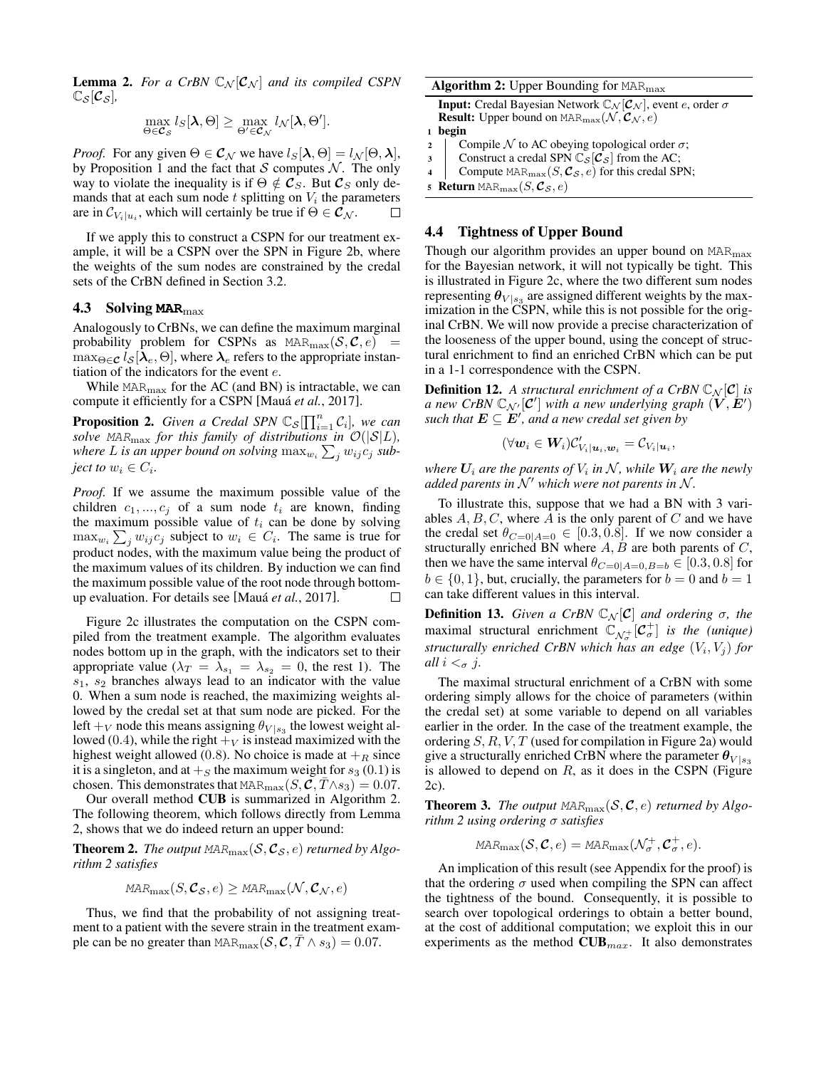<span id="page-5-1"></span>**Lemma 2.** For a CrBN  $\mathbb{C}_{N}[\mathcal{C}_{N}]$  and its compiled CSPN  $\mathbb{C}_{\mathcal{S}}[\mathcal{C}_{\mathcal{S}}]$ ,

$$
\max_{\Theta \in \mathcal{C}_{\mathcal{S}}} l_{S}[\lambda, \Theta] \ge \max_{\Theta' \in \mathcal{C}_{\mathcal{N}}} l_{\mathcal{N}}[\lambda, \Theta'].
$$

*Proof.* For any given  $\Theta \in \mathcal{C}_{\mathcal{N}}$  we have  $l_S[\lambda, \Theta] = l_{\mathcal{N}}[\Theta, \lambda],$ by Proposition [1](#page-4-2) and the fact that  $S$  computes  $N$ . The only way to violate the inequality is if  $\Theta \notin \mathcal{C}_S$ . But  $\mathcal{C}_S$  only demands that at each sum node  $t$  splitting on  $V_i$  the parameters are in  $\mathcal{C}_{V_i|u_i}$ , which will certainly be true if  $\Theta \in \mathcal{C}_{\mathcal{N}}$ .

If we apply this to construct a CSPN for our treatment example, it will be a CSPN over the SPN in Figure [2b,](#page-4-0) where the weights of the sum nodes are constrained by the credal sets of the CrBN defined in Section [3.2.](#page-2-2)

## 4.3 Solving **MAR**max

Analogously to CrBNs, we can define the maximum marginal probability problem for CSPNs as  $\text{MAR}_\text{max}(\mathcal{S}, \mathcal{C}, e)$  $\max_{\Theta \in \mathcal{C}} l_{\mathcal{S}}[\lambda_e, \Theta]$ , where  $\lambda_e$  refers to the appropriate instantiation of the indicators for the event e.

While  $MAR_{\text{max}}$  for the AC (and BN) is intractable, we can compute it efficiently for a CSPN [Mauá *et al.*[, 2017\]](#page-7-18).

<span id="page-5-4"></span>**Proposition 2.** Given a Credal SPN  $\mathbb{C}_{\mathcal{S}}[\prod_{i=1}^{n} \mathcal{C}_i]$ , we can *solve* MAR<sub>max</sub> for this family of distributions in  $\mathcal{O}(|\mathcal{S}|L)$ , where L is an upper bound on solving  $\max_{w_i} \sum_j w_{ij} c_j$  sub*ject to*  $w_i \in C_i$ .

*Proof.* If we assume the maximum possible value of the children  $c_1, ..., c_j$  of a sum node  $t_i$  are known, finding the maximum possible value of  $t_i$  can be done by solving  $\max_{w_i} \sum_j w_{ij} c_j$  subject to  $w_i \in C_i$ . The same is true for product nodes, with the maximum value being the product of the maximum values of its children. By induction we can find the maximum possible value of the root node through bottomup evaluation. For details see [Maua´ *et al.*[, 2017\]](#page-7-18). П

Figure [2c](#page-4-0) illustrates the computation on the CSPN compiled from the treatment example. The algorithm evaluates nodes bottom up in the graph, with the indicators set to their appropriate value  $(\lambda_T = \overline{\lambda}_{s_1} = \lambda_{s_2} = 0$ , the rest 1). The  $s_1$ ,  $s_2$  branches always lead to an indicator with the value 0. When a sum node is reached, the maximizing weights allowed by the credal set at that sum node are picked. For the left  $+<sub>V</sub>$  node this means assigning  $\theta_{V | s_3}$  the lowest weight allowed (0.4), while the right  $+<sub>V</sub>$  is instead maximized with the highest weight allowed (0.8). No choice is made at  $+<sub>R</sub>$  since it is a singleton, and at  $+<sub>S</sub>$  the maximum weight for  $s<sub>3</sub>$  (0.1) is chosen. This demonstrates that MAR<sub>max</sub> $(S, \mathcal{C}, T \wedge s_3) = 0.07$ .

Our overall method CUB is summarized in Algorithm [2.](#page-5-0) The following theorem, which follows directly from Lemma [2,](#page-5-1) shows that we do indeed return an upper bound:

**Theorem 2.** The output  $\text{MAR}_{\text{max}}(\mathcal{S}, \mathcal{C}_{\mathcal{S}}, e)$  returned by Algo*rithm [2](#page-5-0) satisfies*

$$
MAR_{\max}(S, \mathcal{C}_{\mathcal{S}}, e) \geq MAR_{\max}(\mathcal{N}, \mathcal{C}_{\mathcal{N}}, e)
$$

Thus, we find that the probability of not assigning treatment to a patient with the severe strain in the treatment example can be no greater than MAR $_{\text{max}}(\mathcal{S}, \mathcal{C}, \bar{T} \wedge s_3) = 0.07$ .

#### Algorithm 2: Upper Bounding for MAR<sub>max</sub>

**Input:** Credal Bayesian Network  $\mathbb{C}_{\mathcal{N}}[\mathcal{C}_{\mathcal{N}}]$ , event e, order  $\sigma$ **Result:** Upper bound on  $\text{MAR}_\text{max}(\mathcal{N}, \mathcal{C}_{\mathcal{N}}, e)$ 

$$
1 \ \text{begin}
$$

2 Compile N to AC obeying topological order  $\sigma$ ;

- 3 Construct a credal SPN  $\mathbb{C}_{S}[\mathcal{C}_{S}]$  from the AC;<br>4 Compute MAB<sub>pace</sub> (S  $\mathcal{C}_{S}$  e) for this credal SF
- <span id="page-5-0"></span>Compute  $\text{MAR}_\text{max}(S, \mathcal{C}_{\mathcal{S}}, e)$  for this credal SPN;

5 Return 
$$
\text{MAR}_{\text{max}}(S, \mathcal{C}_S, e)
$$

#### <span id="page-5-3"></span>4.4 Tightness of Upper Bound

Though our algorithm provides an upper bound on  $\text{MAR}_{\text{max}}$ for the Bayesian network, it will not typically be tight. This is illustrated in Figure [2c,](#page-4-0) where the two different sum nodes representing  $\theta_{V|s_3}$  are assigned different weights by the maximization in the CSPN, while this is not possible for the original CrBN. We will now provide a precise characterization of the looseness of the upper bound, using the concept of structural enrichment to find an enriched CrBN which can be put in a 1-1 correspondence with the CSPN.

**Definition 12.** A structural enrichment of a CrBN  $\mathbb{C}_N[\mathcal{C}]$  is *a* new CrBN  $\mathbb{C}_{\mathcal{N}'}[\mathcal{C}']$  with a new underlying graph  $(\check{V}, \dot{E}')$ such that  $E \subseteq E'$ , and a new credal set given by

$$
(\forall \boldsymbol{w}_i \in \boldsymbol{W}_i) \mathcal{C}'_{V_i|\boldsymbol{u}_i, \boldsymbol{w}_i} = \mathcal{C}_{V_i|\boldsymbol{u}_i},
$$

where  $\boldsymbol{U}_i$  are the parents of  $V_i$  in  $\mathcal{N}$ , while  $\boldsymbol{W}_i$  are the newly *added parents in*  $\mathcal{N}'$  *which were not parents in*  $\mathcal{N}$ *.* 

To illustrate this, suppose that we had a BN with 3 variables  $A, B, C$ , where A is the only parent of C and we have the credal set  $\theta_{C=0|A=0} \in [0.3, 0.8]$ . If we now consider a structurally enriched BN where  $A, B$  are both parents of  $C$ , then we have the same interval  $\theta_{C=0|A=0,B=b} \in [0.3, 0.8]$  for  $b \in \{0, 1\}$ , but, crucially, the parameters for  $b = 0$  and  $b = 1$ can take different values in this interval.

**Definition 13.** *Given a CrBN*  $\mathbb{C}_{\mathcal{N}}[\mathcal{C}]$  *and ordering*  $\sigma$ *, the* maximal structural enrichment  $\mathbb{C}_{\mathcal{N}_{\sigma}^+}[\mathcal{C}_{\sigma}^+]$  *is the (unique)* structurally enriched CrBN which has an edge  $(V_i, V_j)$  for *all*  $i <_{\sigma} j$ .

The maximal structural enrichment of a CrBN with some ordering simply allows for the choice of parameters (within the credal set) at some variable to depend on all variables earlier in the order. In the case of the treatment example, the ordering  $S, R, V, T$  (used for compilation in Figure [2a\)](#page-4-0) would give a structurally enriched CrBN where the parameter  $\theta_{V | s_3}$ is allowed to depend on  $R$ , as it does in the CSPN (Figure [2c\)](#page-4-0).

<span id="page-5-2"></span>**Theorem 3.** The output  $\text{MAR}_{\text{max}}(\mathcal{S}, \mathcal{C}, e)$  returned by Algo*rithm [2](#page-5-0) using ordering* σ *satisfies*

$$
MAR_{\max}(\mathcal{S}, \mathcal{C}, e) = MAR_{\max}(\mathcal{N}_{\sigma}^{+}, \mathcal{C}_{\sigma}^{+}, e).
$$

An implication of this result (see Appendix for the proof) is that the ordering  $\sigma$  used when compiling the SPN can affect the tightness of the bound. Consequently, it is possible to search over topological orderings to obtain a better bound, at the cost of additional computation; we exploit this in our experiments as the method  $\text{CUB}_{max}$ . It also demonstrates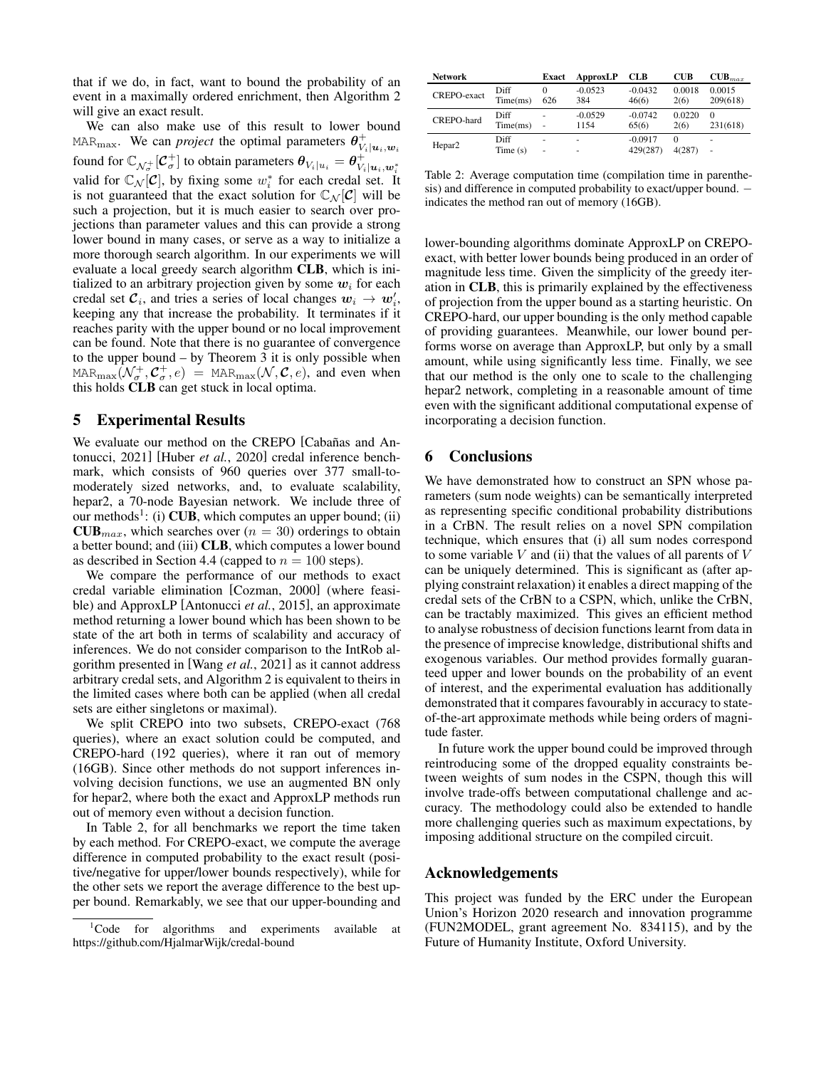that if we do, in fact, want to bound the probability of an event in a maximally ordered enrichment, then Algorithm [2](#page-5-0) will give an exact result.

We can also make use of this result to lower bound MAR<sub>max</sub>. We can *project* the optimal parameters  $\theta_{V_i|u_i,w_i}^+$ found for  $\mathbb{C}_{\mathcal{N}_{\sigma}^+}[\mathcal{C}_{\sigma}^+]$  to obtain parameters  $\theta_{V_i|u_i} = \theta_{V_i|u_i,w_i^*}^+$ valid for  $\mathbb{C}_{\mathcal{N}}[\mathcal{C}]$ , by fixing some  $w_i^*$  for each credal set. It is not guaranteed that the exact solution for  $\mathbb{C}_N[\mathcal{C}]$  will be such a projection, but it is much easier to search over projections than parameter values and this can provide a strong lower bound in many cases, or serve as a way to initialize a more thorough search algorithm. In our experiments we will evaluate a local greedy search algorithm CLB, which is initialized to an arbitrary projection given by some  $w_i$  for each credal set  $C_i$ , and tries a series of local changes  $w_i \rightarrow w'_i$ , keeping any that increase the probability. It terminates if it reaches parity with the upper bound or no local improvement can be found. Note that there is no guarantee of convergence to the upper bound – by Theorem [3](#page-5-2) it is only possible when MAR $\max_{\text{max}}(\mathcal{N}_{\sigma}^+, \mathcal{C}_{\sigma}^+, e)$  = MAR $\max_{\text{max}}(\mathcal{N}, \mathcal{C}, e)$ , and even when this holds CLB can get stuck in local optima.

#### 5 Experimental Results

We evaluate our method on the CREPO [Cabañas and An[tonucci, 2021\]](#page-7-24) [Huber *et al.*[, 2020\]](#page-7-25) credal inference benchmark, which consists of 960 queries over 377 small-tomoderately sized networks, and, to evaluate scalability, hepar2, a 70-node Bayesian network. We include three of our methods<sup>[1](#page-6-0)</sup>: (i) **CUB**, which computes an upper bound; (ii)  $\text{CUB}_{max}$ , which searches over ( $n = 30$ ) orderings to obtain a better bound; and (iii) CLB, which computes a lower bound as described in Section [4.4](#page-5-3) (capped to  $n = 100$  steps).

We compare the performance of our methods to exact credal variable elimination [\[Cozman, 2000\]](#page-7-20) (where feasible) and ApproxLP [\[Antonucci](#page-7-17) *et al.*, 2015], an approximate method returning a lower bound which has been shown to be state of the art both in terms of scalability and accuracy of inferences. We do not consider comparison to the IntRob algorithm presented in [Wang *et al.*[, 2021\]](#page-7-2) as it cannot address arbitrary credal sets, and Algorithm [2](#page-5-0) is equivalent to theirs in the limited cases where both can be applied (when all credal sets are either singletons or maximal).

We split CREPO into two subsets, CREPO-exact (768 queries), where an exact solution could be computed, and CREPO-hard (192 queries), where it ran out of memory (16GB). Since other methods do not support inferences involving decision functions, we use an augmented BN only for hepar2, where both the exact and ApproxLP methods run out of memory even without a decision function.

In Table [2,](#page-6-1) for all benchmarks we report the time taken by each method. For CREPO-exact, we compute the average difference in computed probability to the exact result (positive/negative for upper/lower bounds respectively), while for the other sets we report the average difference to the best upper bound. Remarkably, we see that our upper-bounding and

<span id="page-6-1"></span>

| <b>Network</b>     |                  | Exact | ApproxLP         | <b>CLB</b>         | <b>CUB</b>     | $\text{CUB}_{max}$ |
|--------------------|------------------|-------|------------------|--------------------|----------------|--------------------|
| CREPO-exact        | Diff<br>Time(ms) | 626   | $-0.0523$<br>384 | $-0.0432$<br>46(6) | 0.0018<br>2(6) | 0.0015<br>209(618) |
| CREPO-hard         | Diff             | ٠     | $-0.0529$        | $-0.0742$          | 0.0220         | $\Omega$           |
|                    | Time(ms)         | ٠     | 1154             | 65(6)              | 2(6)           | 231(618)           |
| Hepar <sub>2</sub> | Diff             | ٠     | ۰                | $-0.0917$          | $\Omega$       | ٠                  |
|                    | Time $(s)$       | ٠     | -                | 429(287)           | 4(287)         | ٠                  |

Table 2: Average computation time (compilation time in parenthesis) and difference in computed probability to exact/upper bound.  $$ indicates the method ran out of memory (16GB).

lower-bounding algorithms dominate ApproxLP on CREPOexact, with better lower bounds being produced in an order of magnitude less time. Given the simplicity of the greedy iteration in CLB, this is primarily explained by the effectiveness of projection from the upper bound as a starting heuristic. On CREPO-hard, our upper bounding is the only method capable of providing guarantees. Meanwhile, our lower bound performs worse on average than ApproxLP, but only by a small amount, while using significantly less time. Finally, we see that our method is the only one to scale to the challenging hepar2 network, completing in a reasonable amount of time even with the significant additional computational expense of incorporating a decision function.

## 6 Conclusions

We have demonstrated how to construct an SPN whose parameters (sum node weights) can be semantically interpreted as representing specific conditional probability distributions in a CrBN. The result relies on a novel SPN compilation technique, which ensures that (i) all sum nodes correspond to some variable  $V$  and (ii) that the values of all parents of  $V$ can be uniquely determined. This is significant as (after applying constraint relaxation) it enables a direct mapping of the credal sets of the CrBN to a CSPN, which, unlike the CrBN, can be tractably maximized. This gives an efficient method to analyse robustness of decision functions learnt from data in the presence of imprecise knowledge, distributional shifts and exogenous variables. Our method provides formally guaranteed upper and lower bounds on the probability of an event of interest, and the experimental evaluation has additionally demonstrated that it compares favourably in accuracy to stateof-the-art approximate methods while being orders of magnitude faster.

In future work the upper bound could be improved through reintroducing some of the dropped equality constraints between weights of sum nodes in the CSPN, though this will involve trade-offs between computational challenge and accuracy. The methodology could also be extended to handle more challenging queries such as maximum expectations, by imposing additional structure on the compiled circuit.

## Acknowledgements

This project was funded by the ERC under the European Union's Horizon 2020 research and innovation programme (FUN2MODEL, grant agreement No. 834115), and by the Future of Humanity Institute, Oxford University.

<span id="page-6-0"></span><sup>&</sup>lt;sup>1</sup>Code for algorithms and experiments available at https://github.com/HjalmarWijk/credal-bound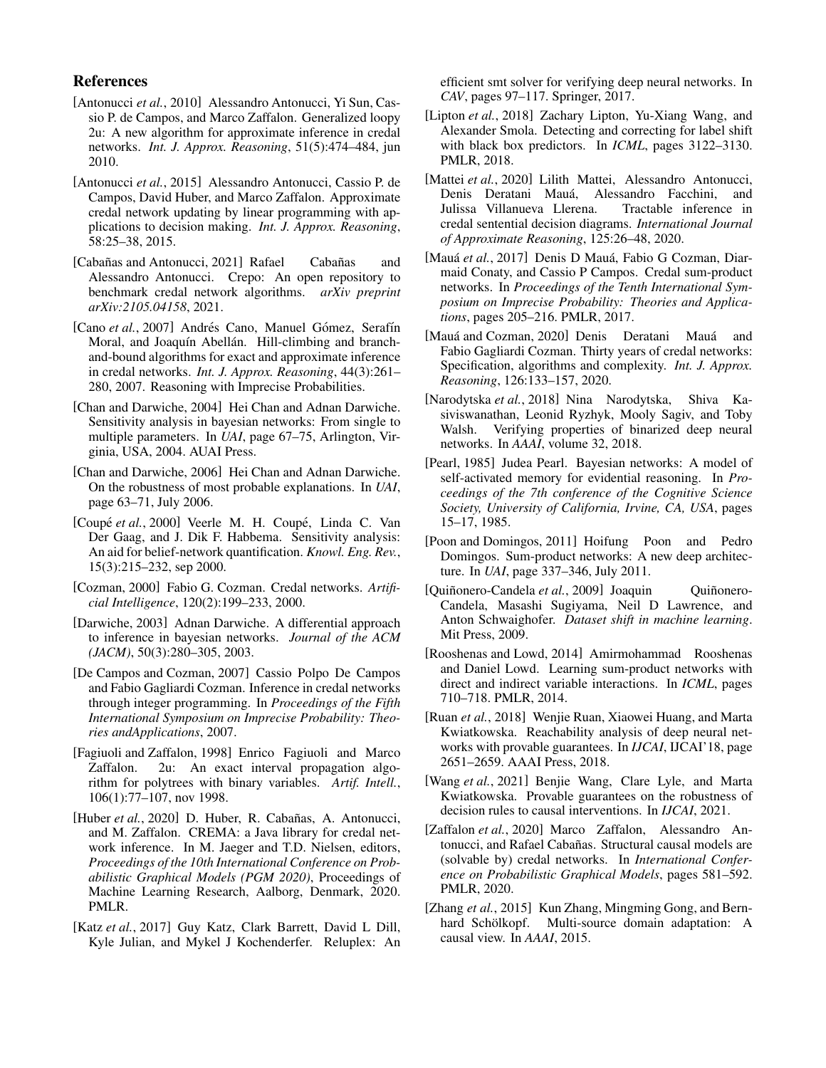# References

- <span id="page-7-16"></span>[Antonucci *et al.*, 2010] Alessandro Antonucci, Yi Sun, Cassio P. de Campos, and Marco Zaffalon. Generalized loopy 2u: A new algorithm for approximate inference in credal networks. *Int. J. Approx. Reasoning*, 51(5):474–484, jun 2010.
- <span id="page-7-17"></span>[Antonucci *et al.*, 2015] Alessandro Antonucci, Cassio P. de Campos, David Huber, and Marco Zaffalon. Approximate credal network updating by linear programming with applications to decision making. *Int. J. Approx. Reasoning*, 58:25–38, 2015.
- <span id="page-7-24"></span>[Cabañas and Antonucci, 2021] Rafael Cabañas and Alessandro Antonucci. Crepo: An open repository to benchmark credal network algorithms. *arXiv preprint arXiv:2105.04158*, 2021.
- <span id="page-7-15"></span>[Cano et al., 2007] Andrés Cano, Manuel Gómez, Serafín Moral, and Joaquín Abellán. Hill-climbing and branchand-bound algorithms for exact and approximate inference in credal networks. *Int. J. Approx. Reasoning*, 44(3):261– 280, 2007. Reasoning with Imprecise Probabilities.
- <span id="page-7-12"></span>[Chan and Darwiche, 2004] Hei Chan and Adnan Darwiche. Sensitivity analysis in bayesian networks: From single to multiple parameters. In *UAI*, page 67–75, Arlington, Virginia, USA, 2004. AUAI Press.
- <span id="page-7-21"></span>[Chan and Darwiche, 2006] Hei Chan and Adnan Darwiche. On the robustness of most probable explanations. In *UAI*, page 63–71, July 2006.
- <span id="page-7-11"></span>[Coupé *et al.*, 2000] Veerle M. H. Coupé, Linda C. Van Der Gaag, and J. Dik F. Habbema. Sensitivity analysis: An aid for belief-network quantification. *Knowl. Eng. Rev.*, 15(3):215–232, sep 2000.
- <span id="page-7-20"></span>[Cozman, 2000] Fabio G. Cozman. Credal networks. *Artificial Intelligence*, 120(2):199–233, 2000.
- <span id="page-7-1"></span>[Darwiche, 2003] Adnan Darwiche. A differential approach to inference in bayesian networks. *Journal of the ACM (JACM)*, 50(3):280–305, 2003.
- <span id="page-7-14"></span>[De Campos and Cozman, 2007] Cassio Polpo De Campos and Fabio Gagliardi Cozman. Inference in credal networks through integer programming. In *Proceedings of the Fifth International Symposium on Imprecise Probability: Theories andApplications*, 2007.
- <span id="page-7-13"></span>[Fagiuoli and Zaffalon, 1998] Enrico Fagiuoli and Marco Zaffalon. 2u: An exact interval propagation algorithm for polytrees with binary variables. *Artif. Intell.*, 106(1):77–107, nov 1998.
- <span id="page-7-25"></span>[Huber *et al.*, 2020] D. Huber, R. Cabañas, A. Antonucci, and M. Zaffalon. CREMA: a Java library for credal network inference. In M. Jaeger and T.D. Nielsen, editors, *Proceedings of the 10th International Conference on Probabilistic Graphical Models (PGM 2020)*, Proceedings of Machine Learning Research, Aalborg, Denmark, 2020. PMLR.
- <span id="page-7-8"></span>[Katz et al., 2017] Guy Katz, Clark Barrett, David L Dill, Kyle Julian, and Mykel J Kochenderfer. Reluplex: An

efficient smt solver for verifying deep neural networks. In *CAV*, pages 97–117. Springer, 2017.

- <span id="page-7-7"></span>[Lipton *et al.*, 2018] Zachary Lipton, Yu-Xiang Wang, and Alexander Smola. Detecting and correcting for label shift with black box predictors. In *ICML*, pages 3122–3130. PMLR, 2018.
- <span id="page-7-19"></span>[Mattei *et al.*, 2020] Lilith Mattei, Alessandro Antonucci, Denis Deratani Mauá, Alessandro Facchini, and Julissa Villanueva Llerena. Tractable inference in credal sentential decision diagrams. *International Journal of Approximate Reasoning*, 125:26–48, 2020.
- <span id="page-7-18"></span>[Mauá et al., 2017] Denis D Mauá, Fabio G Cozman, Diarmaid Conaty, and Cassio P Campos. Credal sum-product networks. In *Proceedings of the Tenth International Symposium on Imprecise Probability: Theories and Applications*, pages 205–216. PMLR, 2017.
- <span id="page-7-3"></span>[Mauá and Cozman, 2020] Denis Deratani Mauá and Fabio Gagliardi Cozman. Thirty years of credal networks: Specification, algorithms and complexity. *Int. J. Approx. Reasoning*, 126:133–157, 2020.
- <span id="page-7-9"></span>[Narodytska *et al.*, 2018] Nina Narodytska, Shiva Kasiviswanathan, Leonid Ryzhyk, Mooly Sagiv, and Toby Walsh. Verifying properties of binarized deep neural networks. In *AAAI*, volume 32, 2018.
- <span id="page-7-0"></span>[Pearl, 1985] Judea Pearl. Bayesian networks: A model of self-activated memory for evidential reasoning. In *Proceedings of the 7th conference of the Cognitive Science Society, University of California, Irvine, CA, USA*, pages 15–17, 1985.
- <span id="page-7-22"></span>[Poon and Domingos, 2011] Hoifung Poon and Pedro Domingos. Sum-product networks: A new deep architecture. In *UAI*, page 337–346, July 2011.
- <span id="page-7-5"></span>[Quiñonero-Candela et al., 2009] Joaquin Quiñonero-Candela, Masashi Sugiyama, Neil D Lawrence, and Anton Schwaighofer. *Dataset shift in machine learning*. Mit Press, 2009.
- <span id="page-7-23"></span>[Rooshenas and Lowd, 2014] Amirmohammad Rooshenas and Daniel Lowd. Learning sum-product networks with direct and indirect variable interactions. In *ICML*, pages 710–718. PMLR, 2014.
- <span id="page-7-10"></span>[Ruan *et al.*, 2018] Wenjie Ruan, Xiaowei Huang, and Marta Kwiatkowska. Reachability analysis of deep neural networks with provable guarantees. In *IJCAI*, IJCAI'18, page 2651–2659. AAAI Press, 2018.
- <span id="page-7-2"></span>[Wang *et al.*, 2021] Benjie Wang, Clare Lyle, and Marta Kwiatkowska. Provable guarantees on the robustness of decision rules to causal interventions. In *IJCAI*, 2021.
- <span id="page-7-4"></span>[Zaffalon *et al.*, 2020] Marco Zaffalon, Alessandro Antonucci, and Rafael Cabañas. Structural causal models are (solvable by) credal networks. In *International Conference on Probabilistic Graphical Models*, pages 581–592. PMLR, 2020.
- <span id="page-7-6"></span>[Zhang et al., 2015] Kun Zhang, Mingming Gong, and Bernhard Schölkopf. Multi-source domain adaptation: A causal view. In *AAAI*, 2015.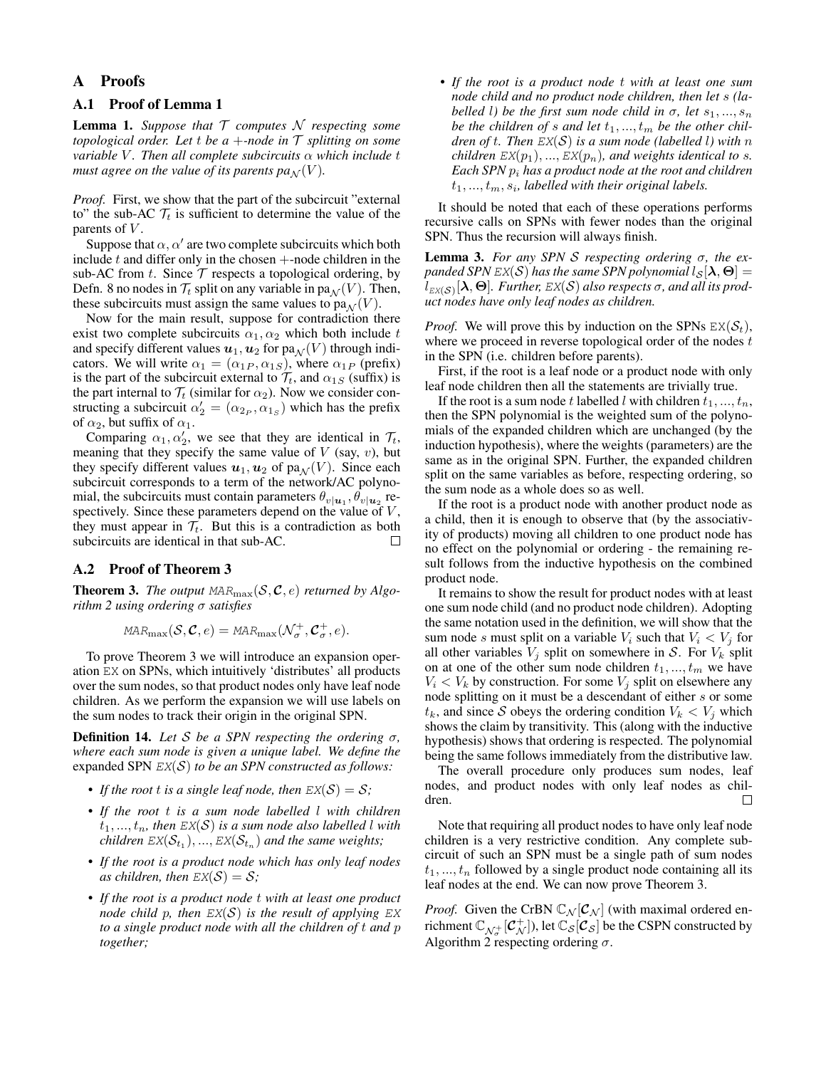## A Proofs

# A.1 Proof of Lemma [1](#page-3-0)

Lemma 1. *Suppose that* T *computes* N *respecting some topological order. Let t be a +-node in*  $\mathcal T$  *splitting on some variable V. Then all complete subcircuits* α *which include t must agree on the value of its parents*  $pa_N(V)$ *.* 

*Proof.* First, we show that the part of the subcircuit "external to" the sub-AC  $\mathcal{T}_t$  is sufficient to determine the value of the parents of  $V$ .

Suppose that  $\alpha$ ,  $\alpha'$  are two complete subcircuits which both include  $t$  and differ only in the chosen  $+$ -node children in the sub-AC from  $t$ . Since  $\mathcal T$  respects a topological ordering, by Defn. [8](#page-3-2) no nodes in  $\mathcal{T}_t$  split on any variable in pa $_N(V)$ . Then, these subcircuits must assign the same values to  $pa_{\mathcal{N}}(V)$ .

Now for the main result, suppose for contradiction there exist two complete subcircuits  $\alpha_1, \alpha_2$  which both include t and specify different values  $u_1, u_2$  for  $pa_{\mathcal{N}}(V)$  through indicators. We will write  $\alpha_1 = (\alpha_{1P}, \alpha_{1S})$ , where  $\alpha_{1P}$  (prefix) is the part of the subcircuit external to  $\mathcal{T}_t$ , and  $\alpha_{1S}$  (suffix) is the part internal to  $\mathcal{T}_t$  (similar for  $\alpha_2$ ). Now we consider constructing a subcircuit  $\alpha_2' = (\alpha_{2_P}, \alpha_{1_S})$  which has the prefix of  $\alpha_2$ , but suffix of  $\alpha_1$ .

Comparing  $\alpha_1, \alpha'_2$ , we see that they are identical in  $\mathcal{T}_t$ , meaning that they specify the same value of  $V$  (say,  $v$ ), but they specify different values  $u_1, u_2$  of pa $\mathcal{N}(V)$ . Since each subcircuit corresponds to a term of the network/AC polynomial, the subcircuits must contain parameters  $\theta_{v|\mathbf{u}_1}, \theta_{v|\mathbf{u}_2}$  respectively. Since these parameters depend on the value of  $V$ , they must appear in  $\mathcal{T}_t$ . But this is a contradiction as both subcircuits are identical in that sub-AC.  $\Box$ 

#### A.2 Proof of Theorem [3](#page-5-2)

**Theorem 3.** The output  $\text{MAR}_{\text{max}}(\mathcal{S}, \mathcal{C}, e)$  returned by Algo*rithm [2](#page-5-0) using ordering* σ *satisfies*

$$
\text{MAR}_{\text{max}}(\mathcal{S}, \mathcal{C}, e) = \text{MAR}_{\text{max}}(\mathcal{N}_{\sigma}^+, \mathcal{C}_{\sigma}^+, e).
$$

To prove Theorem [3](#page-5-2) we will introduce an expansion operation EX on SPNs, which intuitively 'distributes' all products over the sum nodes, so that product nodes only have leaf node children. As we perform the expansion we will use labels on the sum nodes to track their origin in the original SPN.

<span id="page-8-0"></span>**Definition 14.** Let S be a SPN respecting the ordering  $\sigma$ , *where each sum node is given a unique label. We define the* expanded SPN EX(S) *to be an SPN constructed as follows:*

- If the root t is a single leaf node, then  $EX(S) = S$ ;
- *If the root* t *is a sum node labelled* l *with children*  $t_1, ..., t_n$ , then  $EX(S)$  *is a sum node also labelled l with*  $\textit{children }\textit{EX}(\mathcal{S}_{t_1}),...,\textit{EX}(\mathcal{S}_{t_n})$  and the same weights;
- *If the root is a product node which has only leaf nodes as children, then*  $EX(S) = S$ ;
- *If the root is a product node* t *with at least one product node child* p, then  $EX(S)$  *is the result of applying*  $EX$ *to a single product node with all the children of* t *and* p *together;*

• *If the root is a product node* t *with at least one sum node child and no product node children, then let* s *(labelled l*) be the first sum node child in  $\sigma$ , let  $s_1, ..., s_n$ *be the children of s and let*  $t_1, ..., t_m$  *be the other children of* t*. Then* EX(S) *is a sum node (labelled* l*) with* n *children*  $EX(p_1), ..., EX(p_n)$ *, and weights identical to s. Each SPN* p<sup>i</sup> *has a product node at the root and children*  $t_1, ..., t_m, s_i$ , labelled with their original labels.

It should be noted that each of these operations performs recursive calls on SPNs with fewer nodes than the original SPN. Thus the recursion will always finish.

Lemma 3. *For any SPN* S *respecting ordering* σ*, the expanded SPN*  $EX(S)$  *has the same SPN polynomial*  $l_S[\lambda, \Theta] =$  $l_{\text{\tiny EX}(\mathcal{S})}[\boldsymbol{\lambda},\boldsymbol{\Theta}].$  Further,  $\text{\tiny EX}(\mathcal{S})$  also respects  $\sigma,$  and all its prod*uct nodes have only leaf nodes as children.*

*Proof.* We will prove this by induction on the SPNs  $EX(S_t)$ , where we proceed in reverse topological order of the nodes  $t$ in the SPN (i.e. children before parents).

First, if the root is a leaf node or a product node with only leaf node children then all the statements are trivially true.

If the root is a sum node t labelled l with children  $t_1, ..., t_n$ , then the SPN polynomial is the weighted sum of the polynomials of the expanded children which are unchanged (by the induction hypothesis), where the weights (parameters) are the same as in the original SPN. Further, the expanded children split on the same variables as before, respecting ordering, so the sum node as a whole does so as well.

If the root is a product node with another product node as a child, then it is enough to observe that (by the associativity of products) moving all children to one product node has no effect on the polynomial or ordering - the remaining result follows from the inductive hypothesis on the combined product node.

It remains to show the result for product nodes with at least one sum node child (and no product node children). Adopting the same notation used in the definition, we will show that the sum node s must split on a variable  $V_i$  such that  $V_i < V_j$  for all other variables  $V_i$  split on somewhere in S. For  $V_k$  split on at one of the other sum node children  $t_1, ..., t_m$  we have  $V_i$  <  $V_k$  by construction. For some  $V_j$  split on elsewhere any node splitting on it must be a descendant of either s or some  $t_k$ , and since S obeys the ordering condition  $V_k < V_j$  which shows the claim by transitivity. This (along with the inductive hypothesis) shows that ordering is respected. The polynomial being the same follows immediately from the distributive law.

The overall procedure only produces sum nodes, leaf nodes, and product nodes with only leaf nodes as children.  $\Box$ 

Note that requiring all product nodes to have only leaf node children is a very restrictive condition. Any complete subcircuit of such an SPN must be a single path of sum nodes  $t_1, \ldots, t_n$  followed by a single product node containing all its leaf nodes at the end. We can now prove Theorem [3.](#page-5-2)

*Proof.* Given the CrBN  $\mathbb{C}_{N}[\mathcal{C}_{N}]$  (with maximal ordered enrichment  $\mathbb{C}_{\mathcal{N}_{\sigma}^+}[\mathcal{C}_{\mathcal{N}}^+],$  let  $\mathbb{C}_{\mathcal{S}}[\mathcal{C}_{\mathcal{S}}]$  be the CSPN constructed by Algorithm [2](#page-5-0) respecting ordering  $\sigma$ .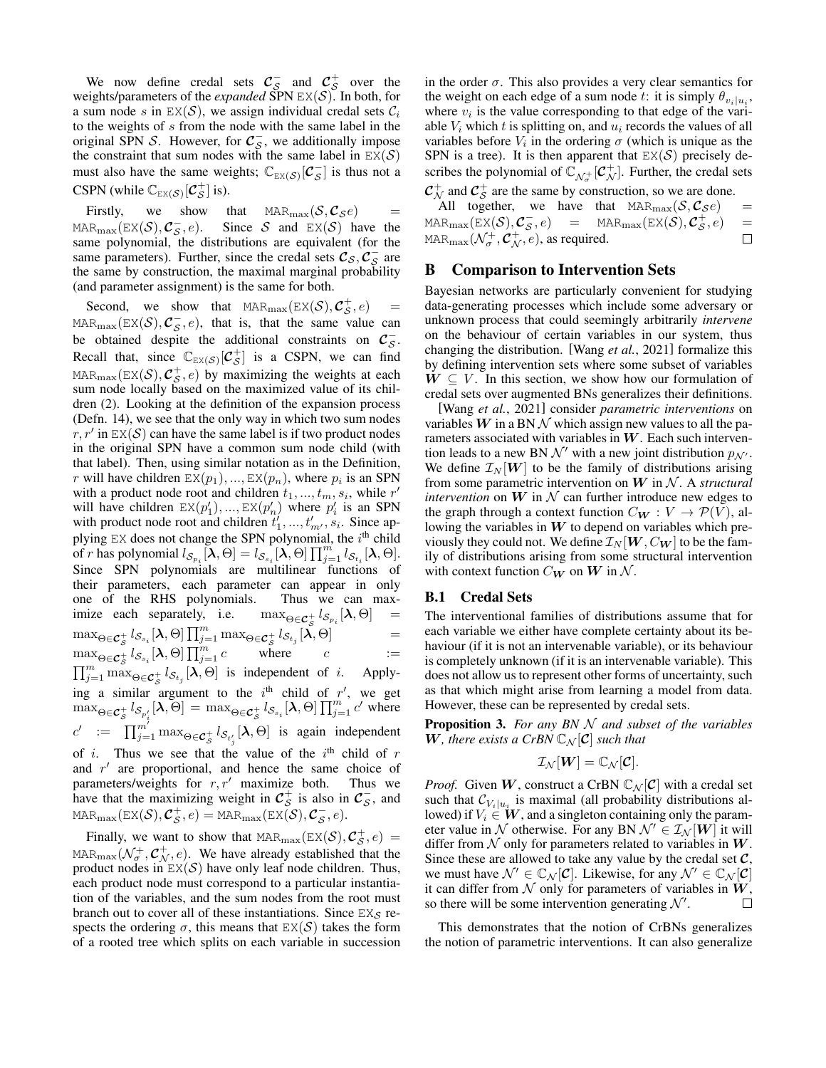We now define credal sets  $\mathcal{C}_\mathcal{S}^-$  and  $\mathcal{C}_\mathcal{S}^+$  over the weights/parameters of the *expanded* SPN  $EX(S)$ . In both, for a sum node s in  $EX(S)$ , we assign individual credal sets  $C_i$ to the weights of s from the node with the same label in the original SPN S. However, for  $C_s^-$ , we additionally impose the constraint that sum nodes with the same label in  $EX(S)$ must also have the same weights;  $\mathbb{C}_{\mathbb{E}(\mathcal{S})}[\mathcal{C}_{\mathcal{S}}^-]$  is thus not a CSPN (while  $\mathbb{C}_{\text{EX}(\mathcal{S})}[\mathcal{C}_{\mathcal{S}}^+]$  is).

Firstly, we show that  $\text{MAR}_{\text{max}}(\mathcal{S}, \mathcal{C}_{\mathcal{S}}e)$ MAR<sub>max</sub>(EX(S),  $C_S^-, e$ ). Since S and EX(S) have the same polynomial, the distributions are equivalent (for the same parameters). Further, since the credal sets  $\mathcal{C}_{\mathcal{S}}, \mathcal{C}_{\mathcal{S}}^-$  are the same by construction, the maximal marginal probability (and parameter assignment) is the same for both.

Second, we show that  $\text{MAR}_{\text{max}}(\text{EX}(\mathcal{S}), \mathcal{C}_{\mathcal{S}}^+, e)$  = MAR<sub>max</sub>(EX(S),  $C_5$ , e), that is, that the same value can be obtained despite the additional constraints on  $\mathcal{C}_s^-$ . Recall that, since  $\mathbb{C}_{\text{EX}(S)}[\mathcal{C}_S^+]$  is a CSPN, we can find MAR $_{\text{max}}(\text{EX}(\mathcal{S}), \mathcal{C}_{\mathcal{S}}^+, e)$  by maximizing the weights at each sum node locally based on the maximized value of its children [\(2\)](#page-5-4). Looking at the definition of the expansion process (Defn. [14\)](#page-8-0), we see that the only way in which two sum nodes  $r, r'$  in  $EX(S)$  can have the same label is if two product nodes in the original SPN have a common sum node child (with that label). Then, using similar notation as in the Definition, r will have children  $EX(p_1), ..., EX(p_n)$ , where  $p_i$  is an SPN with a product node root and children  $t_1, ..., t_m, s_i$ , while  $r'$ will have children  $EX(p'_1), ..., EX(p'_n)$  where  $p'_i$  is an SPN with product node root and children  $t'_1, ..., t'_{m'}$ ,  $s_i$ . Since applying  $EX$  does not change the SPN polynomial, the  $i<sup>th</sup>$  child of r has polynomial  $l_{\mathcal{S}_{p_i}}[\lambda, \Theta] = l_{\mathcal{S}_{s_i}}[\lambda, \Theta] \prod_{j=1}^m l_{\mathcal{S}_{t_i}}[\lambda, \Theta].$ Since SPN polynomials are multilinear functions of their parameters, each parameter can appear in only one of the RHS polynomials. Thus we can maximize each separately, i.e.  $_{s}^{+}\,l_{\mathcal{S}_{p_{i}}}[\boldsymbol{\lambda},\Theta] \quad =$  $\max_{\Theta \in \mathcal{C}_{\mathcal{S}}^+} l_{\mathcal{S}_{s_i}}[\lambda, \Theta] \prod_{j=1}^m \max_{\Theta \in \mathcal{C}_{\mathcal{S}}^+} l_{\mathcal{S}_{t_j}}[\lambda, \Theta] =$  $\max_{\Theta \in \mathcal{C}_{\mathcal{S}}^+} l_{\mathcal{S}_{s_i}}[\lambda, \Theta] \prod_{j=1}^m c$  where  $c$  :=  $\prod_{j=1}^m \max_{\Theta \in \mathcal{C}_S^+} l_{\mathcal{S}_{t_j}}[\lambda, \Theta]$  is independent of i. Applying a similar argument to the i<sup>th</sup> child of r', we get  $\max_{\Theta \in \mathcal{C}_{\mathcal{S}}^+} l_{\mathcal{S}_{p'_i}}[\lambda, \Theta] = \max_{\Theta \in \mathcal{C}_{\mathcal{S}}^+} l_{\mathcal{S}_{s_i}}[\lambda, \Theta] \prod_{j=1}^m c'$  where  $c' := \prod_{j=1}^{m'} \max_{\Theta \in \mathcal{C}_{\mathcal{S}}^+} l_{\mathcal{S}_{t'_j}}[\lambda, \Theta]$  is again independent of *i*. Thus we see that the value of the  $i<sup>th</sup>$  child of r and  $r'$  are proportional, and hence the same choice of parameters/weights for  $r, r'$  maximize both. Thus we have that the maximizing weight in  $\mathcal{C}_{\mathcal{S}}^+$  is also in  $\mathcal{C}_{\mathcal{S}}^-$ , and  $\texttt{MAR}_\text{max}(\texttt{EX}(\mathcal{S}), \mathcal{C}^+_{\mathcal{S}}, e) = \texttt{MAR}_\text{max}(\texttt{EX}(\mathcal{S}), \mathcal{C}^-_{\mathcal{S}}, e).$ 

Finally, we want to show that  $\text{MAR}_{\text{max}}(\text{EX}(\mathcal{S}), \mathcal{C}_{\mathcal{S}}^+, e) =$ MAR $_{\text{max}}(\mathcal{N}_{\sigma}^+, \mathcal{C}_{\mathcal{N}}^+, e)$ . We have already established that the product nodes in  $EX(S)$  have only leaf node children. Thus, each product node must correspond to a particular instantiation of the variables, and the sum nodes from the root must branch out to cover all of these instantiations. Since  $EX_{\mathcal{S}}$  respects the ordering  $\sigma$ , this means that  $EX(S)$  takes the form of a rooted tree which splits on each variable in succession in the order  $\sigma$ . This also provides a very clear semantics for the weight on each edge of a sum node t: it is simply  $\theta_{v_i|u_i}$ , where  $v_i$  is the value corresponding to that edge of the variable  $V_i$  which t is splitting on, and  $u_i$  records the values of all variables before  $V_i$  in the ordering  $\sigma$  (which is unique as the SPN is a tree). It is then apparent that  $EX(S)$  precisely describes the polynomial of  $\mathbb{C}_{\mathcal{N}_{\sigma}^{+}}[\mathcal{C}_{\mathcal{N}}^{+}]$ . Further, the credal sets  $\mathcal{C}_{\mathcal{N}}^+$  and  $\mathcal{C}_{\mathcal{S}}^+$  are the same by construction, so we are done.

All together, we have that  $MAR_{\text{max}}(\mathcal{S}, \mathcal{C}_{\mathcal{S}}e)$  =  $\texttt{MAR}_\text{max}(\texttt{EX}(\mathcal{S}), \mathcal{C}_{\mathcal{S}}^-, e)$  =  $\texttt{MAR}_\text{max}(\texttt{EX}(\mathcal{S}), \mathcal{C}_{\mathcal{S}}^+, e)$  = MAR $_{\rm max}(\mathcal{N}_{\sigma}^+, \mathcal{C}_{\mathcal{N}}^+, e),$  as required.  $\Box$ 

### B Comparison to Intervention Sets

Bayesian networks are particularly convenient for studying data-generating processes which include some adversary or unknown process that could seemingly arbitrarily *intervene* on the behaviour of certain variables in our system, thus changing the distribution. [Wang *et al.*[, 2021\]](#page-7-2) formalize this by defining intervention sets where some subset of variables  $W \subseteq V$ . In this section, we show how our formulation of credal sets over augmented BNs generalizes their definitions.

[Wang *et al.*[, 2021\]](#page-7-2) consider *parametric interventions* on variables  $W$  in a BN  $\mathcal N$  which assign new values to all the parameters associated with variables in  $W$ . Each such intervention leads to a new BN  $\mathcal{N}'$  with a new joint distribution  $p_{\mathcal{N}'}$ . We define  $\mathcal{I}_N[\boldsymbol{W}]$  to be the family of distributions arising from some parametric intervention on  $W$  in  $N$ . A *structural intervention* on  $W$  in  $N$  can further introduce new edges to the graph through a context function  $C_W : V \to \mathcal{P}(V)$ , allowing the variables in  $W$  to depend on variables which previously they could not. We define  $\mathcal{I}_N[\boldsymbol{W}, C_{\boldsymbol{W}}]$  to be the family of distributions arising from some structural intervention with context function  $C_W$  on  $W$  in  $N$ .

#### B.1 Credal Sets

The interventional families of distributions assume that for each variable we either have complete certainty about its behaviour (if it is not an intervenable variable), or its behaviour is completely unknown (if it is an intervenable variable). This does not allow us to represent other forms of uncertainty, such as that which might arise from learning a model from data. However, these can be represented by credal sets.

<span id="page-9-0"></span>Proposition 3. *For any BN* N *and subset of the variables* W, there exists a CrBN  $\mathbb{C}_N[\mathcal{C}]$  such that

$$
\mathcal{I}_{\mathcal{N}}[W] = \mathbb{C}_{\mathcal{N}}[\mathcal{C}].
$$

*Proof.* Given W, construct a CrBN  $\mathbb{C}_{\mathcal{N}}[\mathcal{C}]$  with a credal set such that  $\mathcal{C}_{V_i|u_i}$  is maximal (all probability distributions allowed) if  $V_i \in W$ , and a singleton containing only the parameter value in N otherwise. For any BN  $\mathcal{N}' \in \mathcal{I}_{\mathcal{N}}[W]$  it will differ from  $N$  only for parameters related to variables in  $W$ . Since these are allowed to take any value by the credal set  $C$ , we must have  $\mathcal{N}' \in \mathbb{C}_{\mathcal{N}}[\mathcal{C}]$ . Likewise, for any  $\mathcal{N}' \in \mathbb{C}_{\mathcal{N}}[\mathcal{C}]$ it can differ from  $N$  only for parameters of variables in  $W$ , so there will be some intervention generating  $\mathcal{N}'$ .  $\Box$ 

This demonstrates that the notion of CrBNs generalizes the notion of parametric interventions. It can also generalize